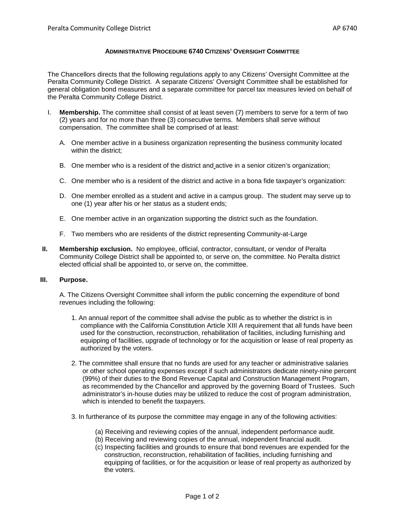## **ADMINISTRATIVE PROCEDURE 6740 CITIZENS' OVERSIGHT COMMITTEE**

The Chancellors directs that the following regulations apply to any Citizens' Oversight Committee at the Peralta Community College District. A separate Citizens' Oversight Committee shall be established for general obligation bond measures and a separate committee for parcel tax measures levied on behalf of the Peralta Community College District.

- I. **Membership.** The committee shall consist of at least seven (7) members to serve for a term of two (2) years and for no more than three (3) consecutive terms. Members shall serve without compensation. The committee shall be comprised of at least:
	- A. One member active in a business organization representing the business community located within the district;
	- B. One member who is a resident of the district and active in a senior citizen's organization;
	- C. One member who is a resident of the district and active in a bona fide taxpayer's organization:
	- D. One member enrolled as a student and active in a campus group. The student may serve up to one (1) year after his or her status as a student ends;
	- E. One member active in an organization supporting the district such as the foundation.
	- F. Two members who are residents of the district representing Community-at-Large
- **II. Membership exclusion.** No employee, official, contractor, consultant, or vendor of Peralta Community College District shall be appointed to, or serve on, the committee. No Peralta district elected official shall be appointed to, or serve on, the committee.

## **III. Purpose.**

A. The Citizens Oversight Committee shall inform the public concerning the expenditure of bond revenues including the following:

- 1. An annual report of the committee shall advise the public as to whether the district is in compliance with the California Constitution Article XIII A requirement that all funds have been used for the construction, reconstruction, rehabilitation of facilities, including furnishing and equipping of facilities, upgrade of technology or for the acquisition or lease of real property as authorized by the voters.
- 2. The committee shall ensure that no funds are used for any teacher or administrative salaries or other school operating expenses except if such administrators dedicate ninety-nine percent (99%) of their duties to the Bond Revenue Capital and Construction Management Program, as recommended by the Chancellor and approved by the governing Board of Trustees. Such administrator's in-house duties may be utilized to reduce the cost of program administration, which is intended to benefit the taxpayers.
- 3. In furtherance of its purpose the committee may engage in any of the following activities:
	- (a) Receiving and reviewing copies of the annual, independent performance audit.
	- (b) Receiving and reviewing copies of the annual, independent financial audit.
	- (c) Inspecting facilities and grounds to ensure that bond revenues are expended for the construction, reconstruction, rehabilitation of facilities, including furnishing and equipping of facilities, or for the acquisition or lease of real property as authorized by the voters.